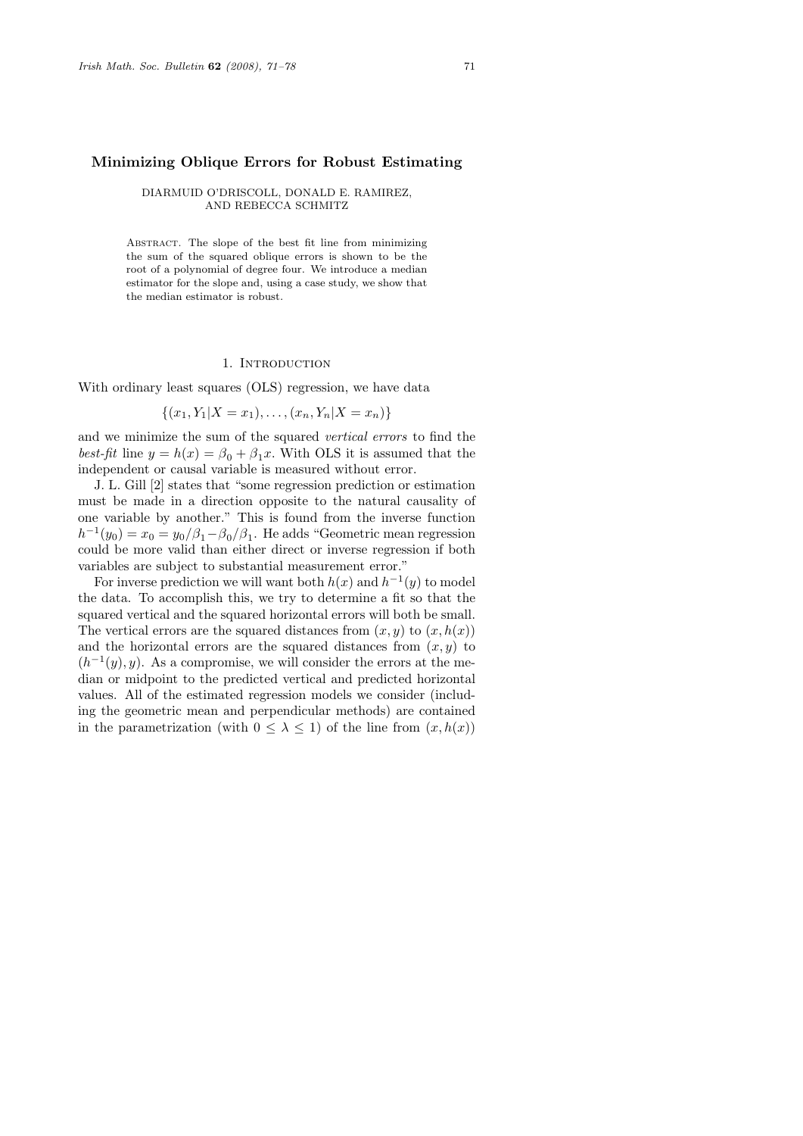## Minimizing Oblique Errors for Robust Estimating

DIARMUID O'DRISCOLL, DONALD E. RAMIREZ, AND REBECCA SCHMITZ

Abstract. The slope of the best fit line from minimizing the sum of the squared oblique errors is shown to be the root of a polynomial of degree four. We introduce a median estimator for the slope and, using a case study, we show that the median estimator is robust.

### 1. INTRODUCTION

With ordinary least squares (OLS) regression, we have data

$$
\{(x_1, Y_1 | X = x_1), \ldots, (x_n, Y_n | X = x_n)\}\
$$

and we minimize the sum of the squared vertical errors to find the best-fit line  $y = h(x) = \beta_0 + \beta_1 x$ . With OLS it is assumed that the independent or causal variable is measured without error.

J. L. Gill [2] states that "some regression prediction or estimation must be made in a direction opposite to the natural causality of one variable by another." This is found from the inverse function  $h^{-1}(y_0) = x_0 = y_0/\beta_1 - \beta_0/\beta_1$ . He adds "Geometric mean regression could be more valid than either direct or inverse regression if both variables are subject to substantial measurement error."

For inverse prediction we will want both  $h(x)$  and  $h^{-1}(y)$  to model the data. To accomplish this, we try to determine a fit so that the squared vertical and the squared horizontal errors will both be small. The vertical errors are the squared distances from  $(x, y)$  to  $(x, h(x))$ and the horizontal errors are the squared distances from  $(x, y)$  to  $(h^{-1}(y), y)$ . As a compromise, we will consider the errors at the median or midpoint to the predicted vertical and predicted horizontal values. All of the estimated regression models we consider (including the geometric mean and perpendicular methods) are contained in the parametrization (with  $0 \leq \lambda \leq 1$ ) of the line from  $(x, h(x))$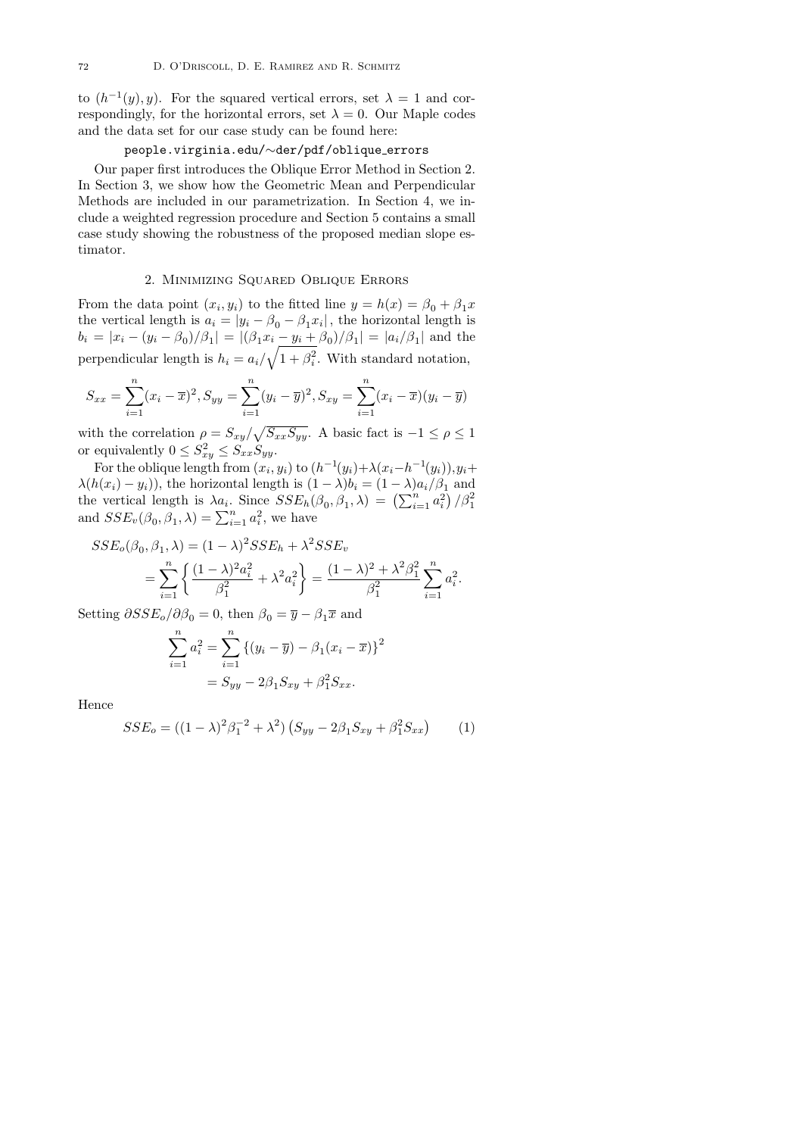to  $(h^{-1}(y), y)$ . For the squared vertical errors, set  $\lambda = 1$  and correspondingly, for the horizontal errors, set  $\lambda = 0$ . Our Maple codes and the data set for our case study can be found here:

# people.virginia.edu/∼der/pdf/oblique errors

Our paper first introduces the Oblique Error Method in Section 2. In Section 3, we show how the Geometric Mean and Perpendicular Methods are included in our parametrization. In Section 4, we include a weighted regression procedure and Section 5 contains a small case study showing the robustness of the proposed median slope estimator.

### 2. Minimizing Squared Oblique Errors

From the data point  $(x_i, y_i)$  to the fitted line  $y = h(x) = \beta_0 + \beta_1 x$ the vertical length is  $a_i = |y_i - \beta_0 - \beta_1 x_i|$ , the horizontal length is  $b_i = |x_i - (y_i - \beta_0)/\beta_1| = |(\beta_1 x_i - y_i + \beta_0)/\beta_1| = |a_i/\beta_1|$  and the perpendicular length is  $h_i = a_i / \sqrt{1 + \beta_i^2}$ . With standard notation,

$$
S_{xx} = \sum_{i=1}^{n} (x_i - \overline{x})^2, S_{yy} = \sum_{i=1}^{n} (y_i - \overline{y})^2, S_{xy} = \sum_{i=1}^{n} (x_i - \overline{x})(y_i - \overline{y})
$$

with the correlation  $\rho = S_{xy}/\sqrt{S_{xx}S_{yy}}$ . A basic fact is  $-1 \le \rho \le 1$ or equivalently  $0 \leq S_{xy}^2 \leq S_{xx} \dot{S}_{yy}$ .

For the oblique length from  $(x_i, y_i)$  to  $(h^{-1}(y_i) + \lambda(x_i - h^{-1}(y_i)), y_i +$  $\lambda(h(x_i) - y_i)$ , the horizontal length is  $(1 - \lambda)b_i = (1 - \lambda)a_i/\beta_1$  and the vertical length is  $\lambda a_i$ . Since  $SSE_h(\beta_0, \beta_1, \lambda) = (\sum_{i=1}^n a_i^2) / \beta_1^2$ <br>and  $SSE_v(\beta_0, \beta_1, \lambda) = \sum_{i=1}^n a_i^2$ , we have

$$
SSE_o(\beta_0, \beta_1, \lambda) = (1 - \lambda)^2 SSE_h + \lambda^2 SSE_v
$$
  
= 
$$
\sum_{i=1}^n \left\{ \frac{(1 - \lambda)^2 a_i^2}{\beta_1^2} + \lambda^2 a_i^2 \right\} = \frac{(1 - \lambda)^2 + \lambda^2 \beta_1^2}{\beta_1^2} \sum_{i=1}^n a_i^2.
$$

Setting  $\partial SSE_o/\partial \beta_0 = 0$ , then  $\beta_0 = \overline{y} - \beta_1 \overline{x}$  and

$$
\sum_{i=1}^{n} a_i^2 = \sum_{i=1}^{n} \left\{ (y_i - \overline{y}) - \beta_1 (x_i - \overline{x}) \right\}^2
$$

$$
= S_{yy} - 2\beta_1 S_{xy} + \beta_1^2 S_{xx}.
$$

Hence

$$
SSE_o = ((1 - \lambda)^2 \beta_1^{-2} + \lambda^2) (S_{yy} - 2\beta_1 S_{xy} + \beta_1^2 S_{xx})
$$
 (1)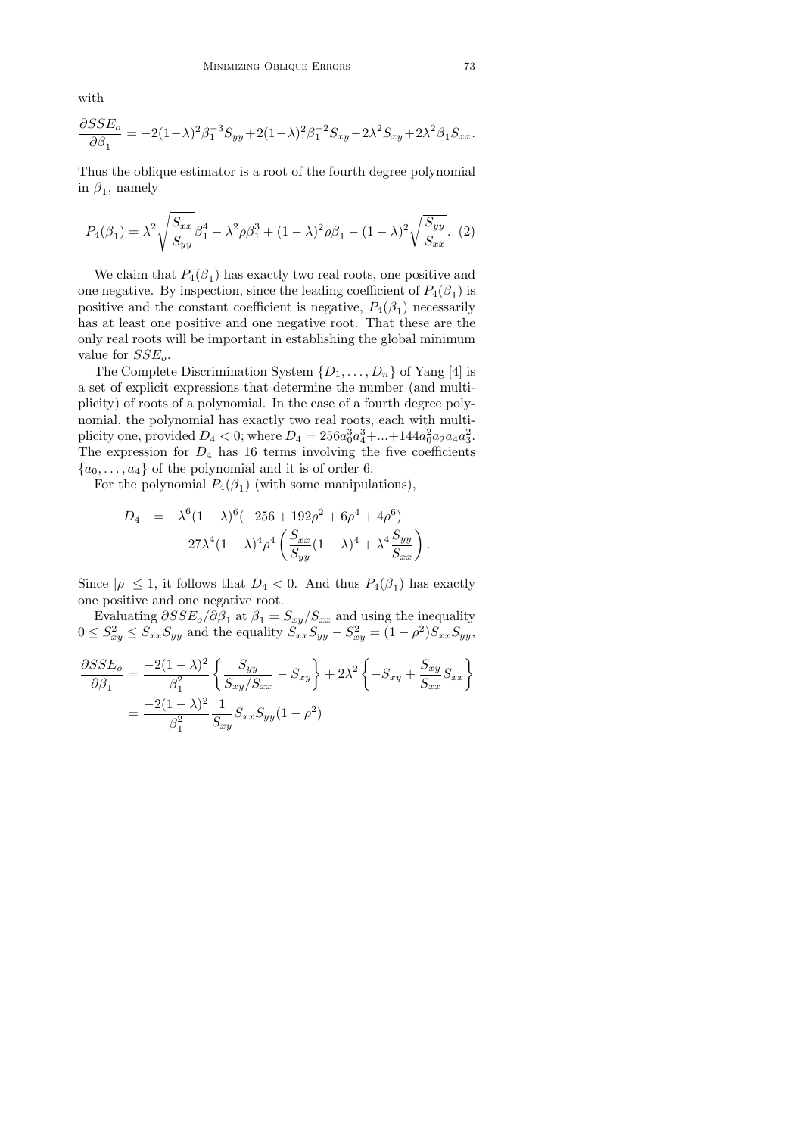with

$$
\frac{\partial SSE_{o}}{\partial \beta_{1}} = -2(1-\lambda)^{2} \beta_{1}^{-3} S_{yy} + 2(1-\lambda)^{2} \beta_{1}^{-2} S_{xy} - 2\lambda^{2} S_{xy} + 2\lambda^{2} \beta_{1} S_{xx}.
$$

Thus the oblique estimator is a root of the fourth degree polynomial in  $\beta_1$ , namely

$$
P_4(\beta_1) = \lambda^2 \sqrt{\frac{S_{xx}}{S_{yy}}} \beta_1^4 - \lambda^2 \rho \beta_1^3 + (1 - \lambda)^2 \rho \beta_1 - (1 - \lambda)^2 \sqrt{\frac{S_{yy}}{S_{xx}}}.
$$
 (2)

We claim that  $P_4(\beta_1)$  has exactly two real roots, one positive and one negative. By inspection, since the leading coefficient of  $P_4(\beta_1)$  is positive and the constant coefficient is negative,  $P_4(\beta_1)$  necessarily has at least one positive and one negative root. That these are the only real roots will be important in establishing the global minimum value for  $SSE_o$ .

The Complete Discrimination System  $\{D_1, \ldots, D_n\}$  of Yang [4] is a set of explicit expressions that determine the number (and multiplicity) of roots of a polynomial. In the case of a fourth degree polynomial, the polynomial has exactly two real roots, each with multiplicity one, provided  $D_4 < 0$ ; where  $D_4 = 256a_0^3a_4^3 + ... + 144a_0^2a_2a_4a_3^2$ . The expression for  $D_4$  has 16 terms involving the five coefficients  ${a_0, \ldots, a_4}$  of the polynomial and it is of order 6.

For the polynomial  $P_4(\beta_1)$  (with some manipulations),

$$
D_4 = \lambda^6 (1 - \lambda)^6 (-256 + 192\rho^2 + 6\rho^4 + 4\rho^6) - 27\lambda^4 (1 - \lambda)^4 \rho^4 \left( \frac{S_{xx}}{S_{yy}} (1 - \lambda)^4 + \lambda^4 \frac{S_{yy}}{S_{xx}} \right).
$$

Since  $|\rho| \leq 1$ , it follows that  $D_4 < 0$ . And thus  $P_4(\beta_1)$  has exactly one positive and one negative root.

Evaluating  $\partial SSE_o/\partial \beta_1$  at  $\beta_1 = S_{xy}/S_{xx}$  and using the inequality  $0 \leq S_{xy}^2 \leq S_{xx}S_{yy}$  and the equality  $S_{xx}S_{yy} - S_{xy}^2 = (1 - \rho^2)S_{xx}S_{yy}$ ,

$$
\frac{\partial SSE_o}{\partial \beta_1} = \frac{-2(1-\lambda)^2}{\beta_1^2} \left\{ \frac{S_{yy}}{S_{xy}/S_{xx}} - S_{xy} \right\} + 2\lambda^2 \left\{ -S_{xy} + \frac{S_{xy}}{S_{xx}} S_{xx} \right\}
$$

$$
= \frac{-2(1-\lambda)^2}{\beta_1^2} \frac{1}{S_{xy}} S_{xx} S_{yy} (1-\rho^2)
$$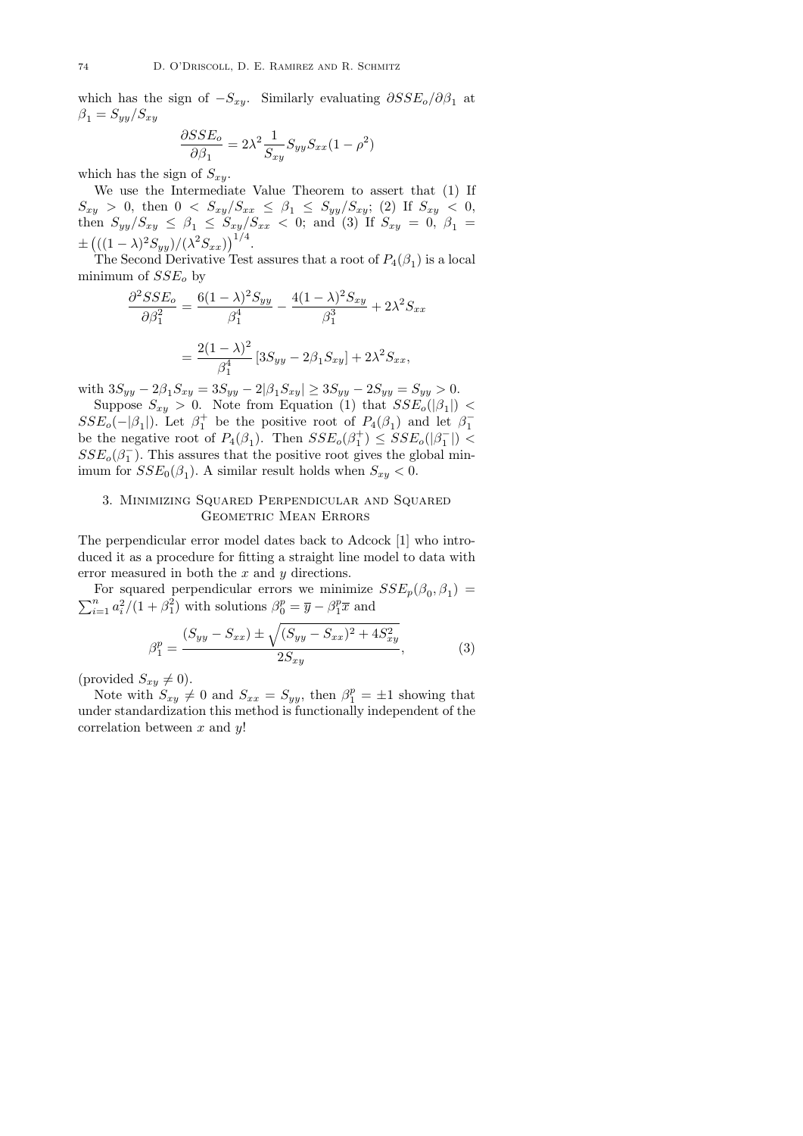which has the sign of  $-S_{xy}$ . Similarly evaluating  $\partial SSE_o/\partial \beta_1$  at  $\beta_1 = S_{yy}/S_{xy}$ 

$$
\frac{\partial SSE_o}{\partial \beta_1} = 2\lambda^2 \frac{1}{S_{xy}} S_{yy} S_{xx} (1 - \rho^2)
$$

which has the sign of  $S_{xy}$ .

We use the Intermediate Value Theorem to assert that (1) If  $S_{xy} > 0$ , then  $0 < S_{xy}/S_{xx} \leq \beta_1 \leq S_{yy}/S_{xy}$ ; (2) If  $S_{xy} < 0$ , then  $S_{yy}/S_{xy} \leq \beta_1 \leq S_{xy}/S_{xx} < 0$ ; and (3) If  $S_{xy} = 0$ ,  $\beta_1 =$  $\pm (( (1 - \lambda)^2 S_{yy})/(\lambda^2 S_{xx}))^{1/4}.$ 

The Second Derivative Test assures that a root of  $P_4(\beta_1)$  is a local minimum of  $SSE<sub>o</sub>$  by

$$
\frac{\partial^2 SSE_o}{\partial \beta_1^2} = \frac{6(1-\lambda)^2 S_{yy}}{\beta_1^4} - \frac{4(1-\lambda)^2 S_{xy}}{\beta_1^3} + 2\lambda^2 S_{xx}
$$

$$
= \frac{2(1-\lambda)^2}{\beta_1^4} [3S_{yy} - 2\beta_1 S_{xy}] + 2\lambda^2 S_{xx},
$$

with  $3S_{yy} - 2\beta_1 S_{xy} = 3S_{yy} - 2|\beta_1 S_{xy}| \ge 3S_{yy} - 2S_{yy} = S_{yy} > 0.$ 

Suppose  $S_{xy} > 0$ . Note from Equation (1) that  $SSE_o(|\beta_1|)$  <  $SSE_o(-|\beta_1|)$ . Let  $\beta_1^+$  be the positive root of  $P_4(\beta_1)$  and let  $\beta_1^$ be the negative root of  $P_4(\beta_1)$ . Then  $SSE_o(\beta_1^+) \leq SSE_o(|\beta_1^-|)$  $SSE_o(\beta_1^-)$ . This assures that the positive root gives the global minimum for  $SSE_0(\beta_1)$ . A similar result holds when  $S_{xy} < 0$ .

# 3. Minimizing Squared Perpendicular and Squared Geometric Mean Errors

The perpendicular error model dates back to Adcock [1] who introduced it as a procedure for fitting a straight line model to data with error measured in both the  $x$  and  $y$  directions.

For squared perpendicular errors we minimize  $SSE_p(\beta_0, \beta_1)$  $\sum_{i=1}^{n} a_i^2/(1+\beta_1^2)$  with solutions  $\beta_0^p = \overline{y} - \beta_1^p \overline{x}$  and

$$
\beta_1^p = \frac{(S_{yy} - S_{xx}) \pm \sqrt{(S_{yy} - S_{xx})^2 + 4S_{xy}^2}}{2S_{xy}},
$$
\n(3)

(provided  $S_{xy} \neq 0$ ).

Note with  $S_{xy} \neq 0$  and  $S_{xx} = S_{yy}$ , then  $\beta_1^p = \pm 1$  showing that under standardization this method is functionally independent of the correlation between  $x$  and  $y!$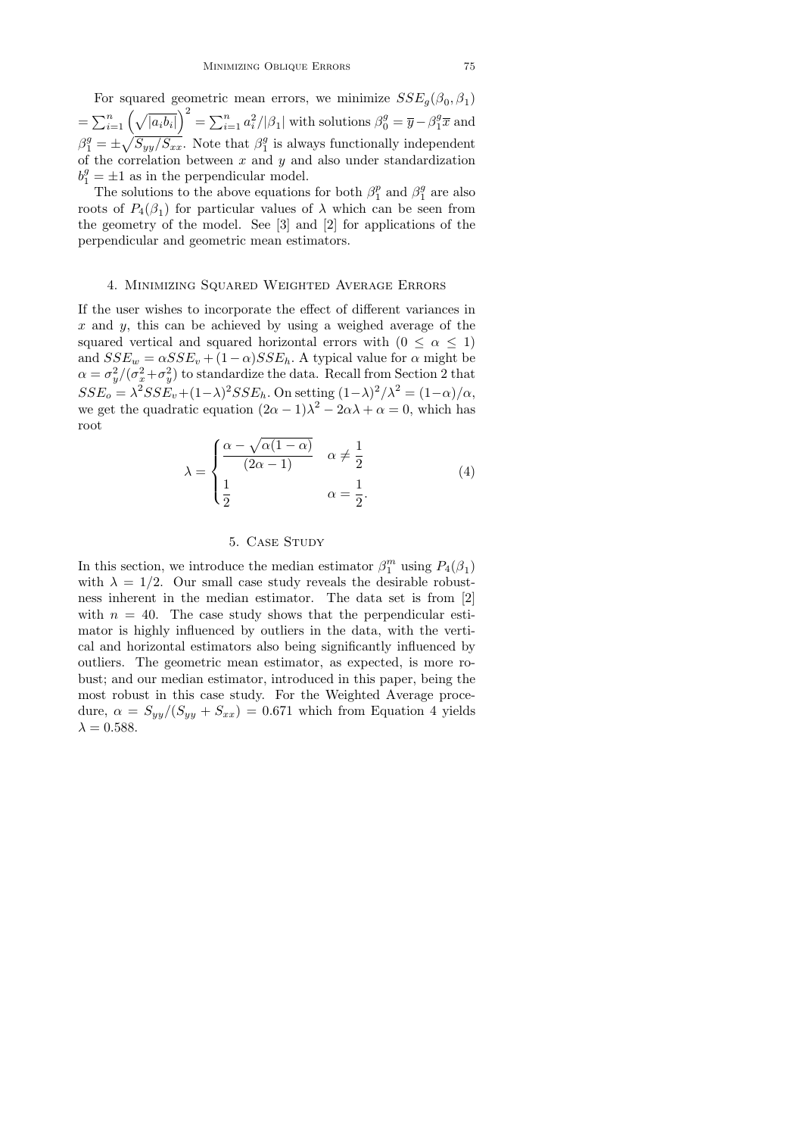For squared geometric mean errors, we minimize  $SSE_g(\beta_0, \beta_1)$  $=\sum_{i=1}^n\left(\sqrt{|a_ib_i|}\right)^2=\sum_{i=1}^na_i^2/|\beta_1|$  with solutions  $\beta_0^g=\overline{y}-\beta_1^g\overline{x}$  and  $\beta_1^g = \pm \sqrt{S_{yy}/S_{xx}}$ . Note that  $\beta_1^g$  is always functionally independent of the correlation between  $x$  and  $y$  and also under standardization  $b_1^g = \pm 1$  as in the perpendicular model.

The solutions to the above equations for both  $\beta_1^p$  and  $\beta_1^g$  are also roots of  $P_4(\beta_1)$  for particular values of  $\lambda$  which can be seen from the geometry of the model. See [3] and [2] for applications of the perpendicular and geometric mean estimators.

### 4. Minimizing Squared Weighted Average Errors

If the user wishes to incorporate the effect of different variances in x and y, this can be achieved by using a weighed average of the squared vertical and squared horizontal errors with  $(0 \le \alpha \le 1)$ and  $SSE_w = \alpha SSE_v + (1 - \alpha) SSE_h$ . A typical value for  $\alpha$  might be  $\alpha = \sigma_y^2/(\sigma_x^2 + \sigma_y^2)$  to standardize the data. Recall from Section 2 that  $SSE_o = \lambda^2 SSE_v + (1-\lambda)^2 SSE_h$ . On setting  $(1-\lambda)^2/\lambda^2 = (1-\alpha)/\alpha$ , we get the quadratic equation  $(2\alpha - 1)\lambda^2 - 2\alpha\lambda + \alpha = 0$ , which has root

$$
\lambda = \begin{cases} \frac{\alpha - \sqrt{\alpha(1-\alpha)}}{(2\alpha - 1)} & \alpha \neq \frac{1}{2} \\ \frac{1}{2} & \alpha = \frac{1}{2}. \end{cases}
$$
(4)

# 5. CASE STUDY

In this section, we introduce the median estimator  $\beta_1^m$  using  $P_4(\beta_1)$ with  $\lambda = 1/2$ . Our small case study reveals the desirable robustness inherent in the median estimator. The data set is from [2] with  $n = 40$ . The case study shows that the perpendicular estimator is highly influenced by outliers in the data, with the vertical and horizontal estimators also being significantly influenced by outliers. The geometric mean estimator, as expected, is more robust; and our median estimator, introduced in this paper, being the most robust in this case study. For the Weighted Average procedure,  $\alpha = S_{yy}/(S_{yy} + S_{xx}) = 0.671$  which from Equation 4 yields  $\lambda = 0.588$ .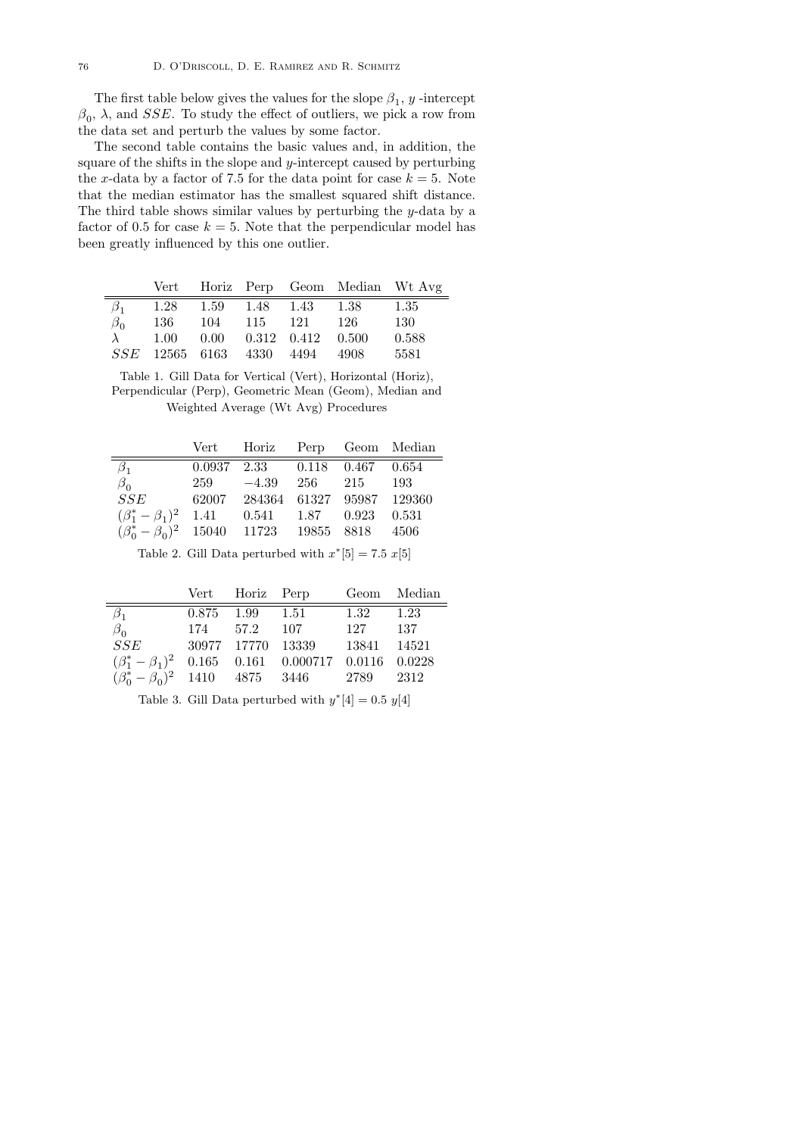The first table below gives the values for the slope  $\beta_1$ , y -intercept  $\beta_0$ ,  $\lambda$ , and SSE. To study the effect of outliers, we pick a row from the data set and perturb the values by some factor.

The second table contains the basic values and, in addition, the square of the shifts in the slope and  $y$ -intercept caused by perturbing the x-data by a factor of 7.5 for the data point for case  $k = 5$ . Note that the median estimator has the smallest squared shift distance. The third table shows similar values by perturbing the y-data by a factor of 0.5 for case  $k = 5$ . Note that the perpendicular model has been greatly influenced by this one outlier.

|             |  |                                       | Vert Horiz Perp Geom Median Wt Avg |       |
|-------------|--|---------------------------------------|------------------------------------|-------|
| $\beta_{1}$ |  | $1.28$ $1.59$ $1.48$ $1.43$ $1.38$    |                                    | 1.35  |
| $\beta_0$   |  | 136 104 115 121 126                   |                                    | 130   |
|             |  | $1.00$ $0.00$ $0.312$ $0.412$ $0.500$ |                                    | 0.588 |
|             |  | SSE 12565 6163 4330 4494 4908         |                                    | 5581  |

Table 1. Gill Data for Vertical (Vert), Horizontal (Horiz), Perpendicular (Perp), Geometric Mean (Geom), Median and Weighted Average (Wt Avg) Procedures

|                                                       |     | Vert Horiz Perp Geom Median             |     |     |       |
|-------------------------------------------------------|-----|-----------------------------------------|-----|-----|-------|
| $\beta_1$                                             |     | $0.0937$ $2.33$ $0.118$ $0.467$ $0.654$ |     |     |       |
| $\beta_0$                                             | 259 | $-4.39$                                 | 256 | 215 | 193   |
| SSE                                                   |     | 62007 284364 61327 95987 129360         |     |     |       |
| $(\beta_1^* - \beta_1)^2$ 1.41                        |     | $0.541$ $1.87$ $0.923$                  |     |     | 0.531 |
| $(\beta_0^* - \beta_0)^2$ 15040 11723 19855 8818 4506 |     |                                         |     |     |       |

Table 2. Gill Data perturbed with  $x^*[5] = 7.5 \ x[5]$ 

|                                                              |          | Vert Horiz Perp   |       |       | Geom Median |
|--------------------------------------------------------------|----------|-------------------|-------|-------|-------------|
| $\beta_{1}$                                                  | 0.875    | 1.99 1.51         |       | 1.32  | 1.23        |
| $\beta_0$                                                    | 174 57.2 |                   | - 107 | 127   | - 137       |
| SSE                                                          |          | 30977 17770 13339 |       | 13841 | 14521       |
| $(\beta_1^* - \beta_1)^2$ 0.165 0.161 0.000717 0.0116 0.0228 |          |                   |       |       |             |
| $(\beta_0^* - \beta_0)^2$ 1410 4875 3446                     |          |                   |       | 2789  | -2312       |

Table 3. Gill Data perturbed with  $y^*[4] = 0.5 \ y[4]$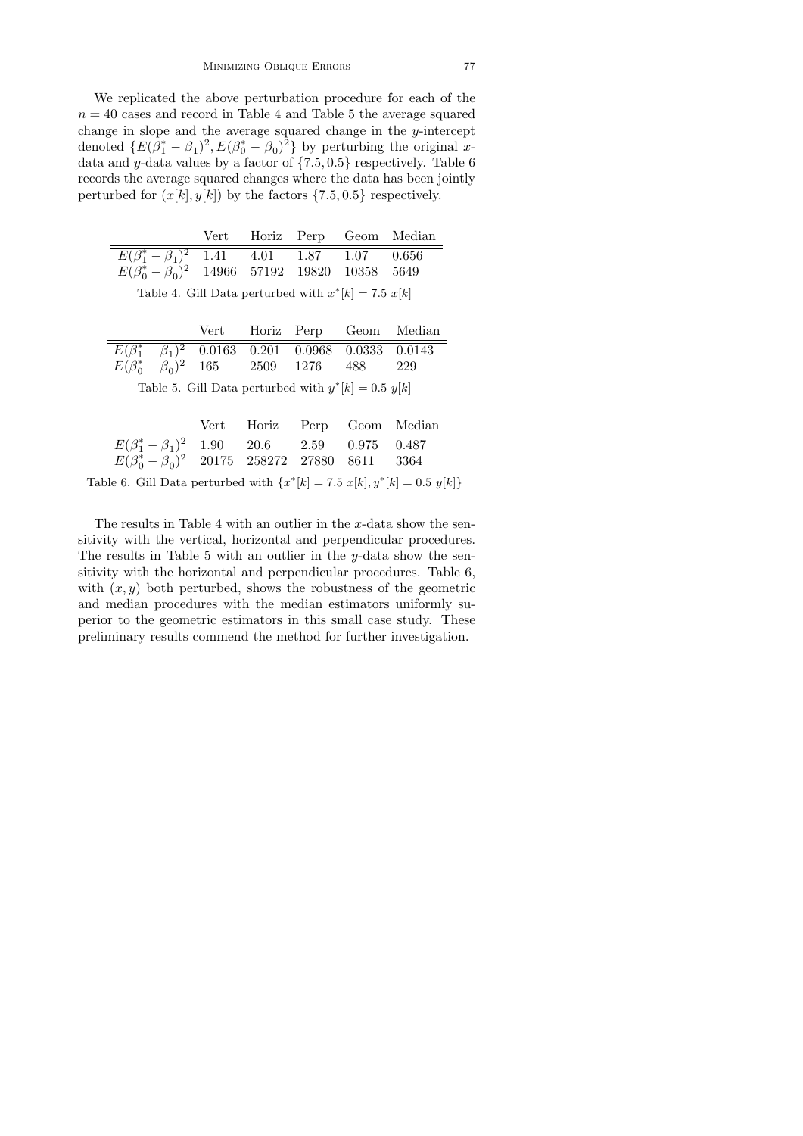We replicated the above perturbation procedure for each of the  $n = 40$  cases and record in Table 4 and Table 5 the average squared change in slope and the average squared change in the y-intercept denoted  $\{E(\beta_1^* - \beta_1)^2, E(\beta_0^* - \beta_0)^2\}$  by perturbing the original xdata and  $y$ -data values by a factor of  $\{7.5, 0.5\}$  respectively. Table 6 records the average squared changes where the data has been jointly perturbed for  $(x[k], y[k])$  by the factors  $\{7.5, 0.5\}$  respectively.

|                                                               |  |  |  |  | Vert Horiz Perp Geom Median |  |
|---------------------------------------------------------------|--|--|--|--|-----------------------------|--|
| $\overline{E(\beta_1^*-\beta_1)^2}$ 1.41 4.01 1.87 1.07 0.656 |  |  |  |  |                             |  |
| $E(\beta_0^* - \beta_0)^2$ 14966 57192 19820 10358 5649       |  |  |  |  |                             |  |
| Table 4. Cill Data parturbed with $x^*[h] = 75$ $x[k]$        |  |  |  |  |                             |  |

| Table 4. Gill Data perturbed with $x^*[k] = 7.5 x[k]$ |  |  |  |  |  |
|-------------------------------------------------------|--|--|--|--|--|
|-------------------------------------------------------|--|--|--|--|--|

|                                                                         |  |  |  |  | Vert Horiz Perp Geom Median |  |  |
|-------------------------------------------------------------------------|--|--|--|--|-----------------------------|--|--|
| $\overline{E(\beta_1^* - \beta_1)^2}$ 0.0163 0.201 0.0968 0.0333 0.0143 |  |  |  |  |                             |  |  |
| $E(\beta_0^* - \beta_0)^2$ 165 2509 1276 488 229                        |  |  |  |  |                             |  |  |
| Table 5. Gill Data perturbed with $y^*[k] = 0.5$ $y[k]$                 |  |  |  |  |                             |  |  |

|                                                                            | Vert Horiz Perp Geom Median |  |  |
|----------------------------------------------------------------------------|-----------------------------|--|--|
| $\overline{E(\beta_1^* - \beta_1)^2}$ 1.90 20.6 2.59 0.975 0.487           |                             |  |  |
| $E(\beta_0^* - \beta_0)^2$ 20175 258272 27880 8611 3364                    |                             |  |  |
| Table 6. Gill Data perturbed with ${x^*}[k] = 7.5 x[k], y^*[k] = 0.5 y[k]$ |                             |  |  |

The results in Table 4 with an outlier in the  $x$ -data show the sensitivity with the vertical, horizontal and perpendicular procedures. The results in Table 5 with an outlier in the y-data show the sensitivity with the horizontal and perpendicular procedures. Table 6, with  $(x, y)$  both perturbed, shows the robustness of the geometric and median procedures with the median estimators uniformly superior to the geometric estimators in this small case study. These preliminary results commend the method for further investigation.